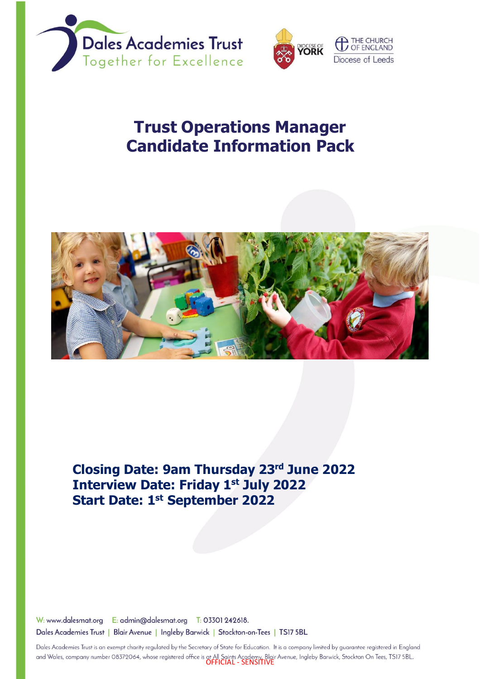



# **Trust Operations Manager Candidate Information Pack**



**Closing Date: 9am Thursday 23 rd June 2022 Interview Date: Friday 1 st July 2022 Start Date: 1 st September 2022**

W: www.dalesmat.org E: admin@dalesmat.org T: 03301 242618. Dales Academies Trust | Blair Avenue | Ingleby Barwick | Stockton-on-Tees | TS17 5BL

Dales Academies Trust is an exempt charity regulated by the Secretary of State for Education. It is a company limited by guarantee registered in England and Wales, company number 08372064, whose registered office is at All Saints Academy, Blair Avenue, Ingleby Barwick, Stockton On Tees, TS17 5BL.<br>**OFFICIAL - SENSITIVE**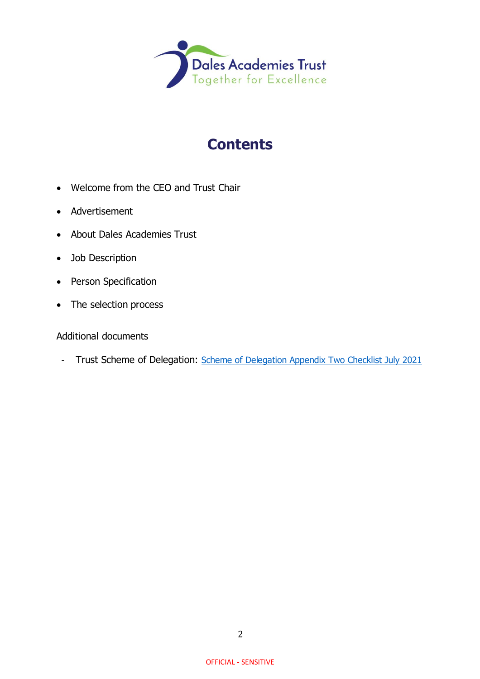

# **Contents**

- Welcome from the CEO and Trust Chair
- Advertisement
- About Dales Academies Trust
- Job Description
- Person Specification
- The selection process

### Additional documents

- Trust Scheme of Delegation: [Scheme of Delegation Appendix Two Checklist July 2021](https://www.dalesmat.org/files/statutory-info/Scheme%20of%20Delegation%20Appendix%20Two%20Checklist%20July%202021.pdf)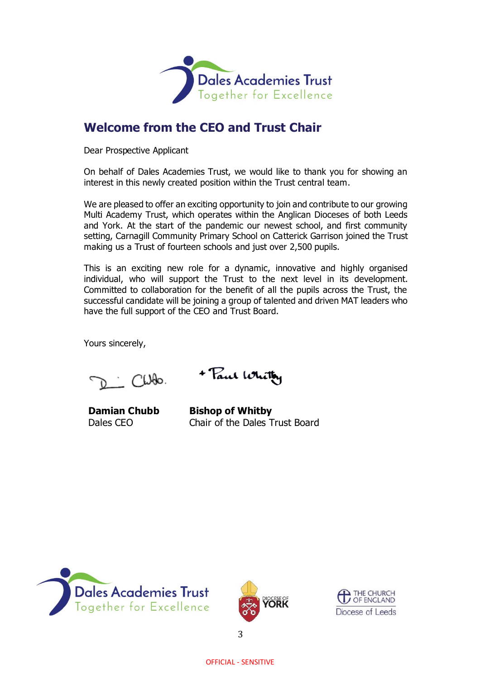

## **Welcome from the CEO and Trust Chair**

Dear Prospective Applicant

On behalf of Dales Academies Trust, we would like to thank you for showing an interest in this newly created position within the Trust central team.

We are pleased to offer an exciting opportunity to join and contribute to our growing Multi Academy Trust, which operates within the Anglican Dioceses of both Leeds and York. At the start of the pandemic our newest school, and first community setting, Carnagill Community Primary School on Catterick Garrison joined the Trust making us a Trust of fourteen schools and just over 2,500 pupils.

This is an exciting new role for a dynamic, innovative and highly organised individual, who will support the Trust to the next level in its development. Committed to collaboration for the benefit of all the pupils across the Trust, the successful candidate will be joining a group of talented and driven MAT leaders who have the full support of the CEO and Trust Board.

Yours sincerely,

 $C1000$ 

+ Paul White

**Damian Chubb** Dales CEO

**Bishop of Whitby** Chair of the Dales Trust Board





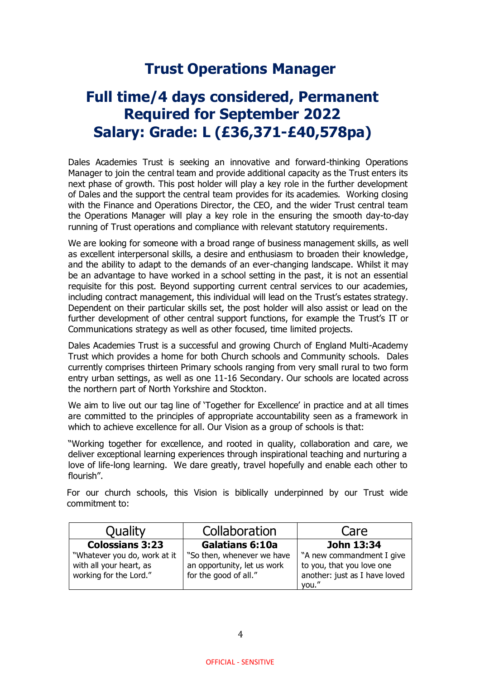# **Trust Operations Manager**

# **Full time/4 days considered, Permanent Required for September 2022 Salary: Grade: L (£36,371-£40,578pa)**

Dales Academies Trust is seeking an innovative and forward-thinking Operations Manager to join the central team and provide additional capacity as the Trust enters its next phase of growth. This post holder will play a key role in the further development of Dales and the support the central team provides for its academies. Working closing with the Finance and Operations Director, the CEO, and the wider Trust central team the Operations Manager will play a key role in the ensuring the smooth day-to-day running of Trust operations and compliance with relevant statutory requirements.

We are looking for someone with a broad range of business management skills, as well as excellent interpersonal skills, a desire and enthusiasm to broaden their knowledge, and the ability to adapt to the demands of an ever-changing landscape. Whilst it may be an advantage to have worked in a school setting in the past, it is not an essential requisite for this post. Beyond supporting current central services to our academies, including contract management, this individual will lead on the Trust's estates strategy. Dependent on their particular skills set, the post holder will also assist or lead on the further development of other central support functions, for example the Trust's IT or Communications strategy as well as other focused, time limited projects.

Dales Academies Trust is a successful and growing Church of England Multi-Academy Trust which provides a home for both Church schools and Community schools. Dales currently comprises thirteen Primary schools ranging from very small rural to two form entry urban settings, as well as one 11-16 Secondary. Our schools are located across the northern part of North Yorkshire and Stockton.

We aim to live out our tag line of 'Together for Excellence' in practice and at all times are committed to the principles of appropriate accountability seen as a framework in which to achieve excellence for all. Our Vision as a group of schools is that:

"Working together for excellence, and rooted in quality, collaboration and care, we deliver exceptional learning experiences through inspirational teaching and nurturing a love of life-long learning. We dare greatly, travel hopefully and enable each other to flourish".

For our church schools, this Vision is biblically underpinned by our Trust wide commitment to:

| Quality                                                                           | Collaboration                                                                      | Care                                                                                             |  |
|-----------------------------------------------------------------------------------|------------------------------------------------------------------------------------|--------------------------------------------------------------------------------------------------|--|
| <b>Colossians 3:23</b>                                                            | <b>Galatians 6:10a</b>                                                             | John 13:34                                                                                       |  |
| "Whatever you do, work at it<br>with all your heart, as<br>working for the Lord." | "So then, whenever we have<br>an opportunity, let us work<br>for the good of all." | "A new commandment I give<br>to you, that you love one<br>another: just as I have loved<br>you." |  |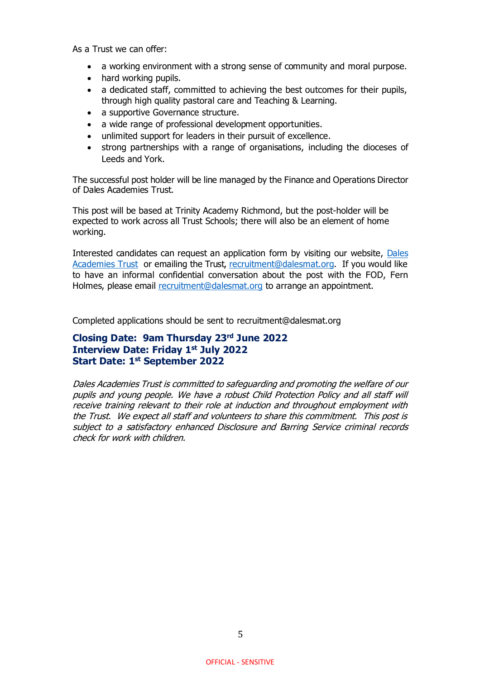As a Trust we can offer:

- a working environment with a strong sense of community and moral purpose.
- hard working pupils.
- a dedicated staff, committed to achieving the best outcomes for their pupils, through high quality pastoral care and Teaching & Learning.
- a supportive Governance structure.
- a wide range of professional development opportunities.
- unlimited support for leaders in their pursuit of excellence.
- strong partnerships with a range of organisations, including the dioceses of Leeds and York.

The successful post holder will be line managed by the Finance and Operations Director of Dales Academies Trust.

This post will be based at Trinity Academy Richmond, but the post-holder will be expected to work across all Trust Schools; there will also be an element of home working.

Interested candidates can request an application form by visiting our website, [Dales](https://www.dalesmat.org/vacancies-at-dales-2/)  [Academies Trust](https://www.dalesmat.org/vacancies-at-dales-2/) or emailing the Trust, [recruitment@dalesmat.org.](mailto:recruitment@dalesmat.org) If you would like to have an informal confidential conversation about the post with the FOD, Fern Holmes, please email [recruitment@dalesmat.org](mailto:recruitment@dalesmat.org) to arrange an appointment.

Completed applications should be sent to recruitment@dalesmat.org

#### **Closing Date: 9am Thursday 23rd June 2022 Interview Date: Friday 1st July 2022 Start Date: 1 st September 2022**

Dales Academies Trust is committed to safeguarding and promoting the welfare of our pupils and young people. We have a robust Child Protection Policy and all staff will receive training relevant to their role at induction and throughout employment with the Trust. We expect all staff and volunteers to share this commitment. This post is subject to a satisfactory enhanced Disclosure and Barring Service criminal records check for work with children.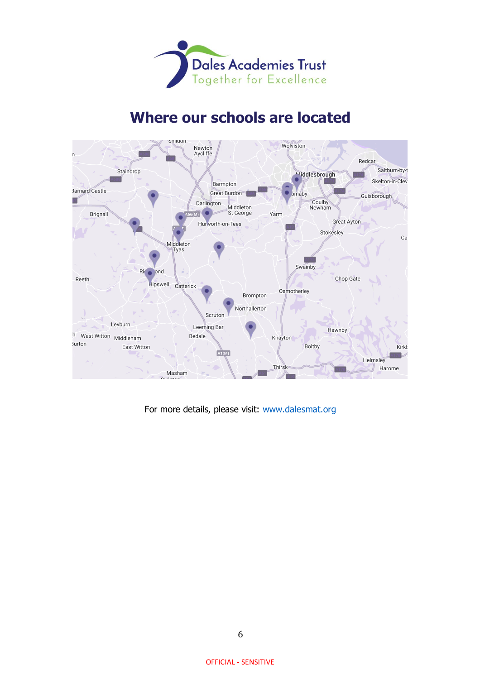

# **Where our schools are located**



For more details, please visit: [www.dalesmat.org](http://www.dalesmat.org/)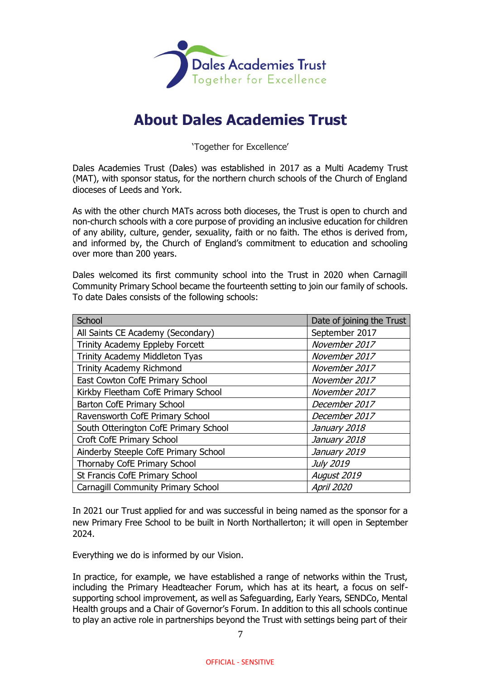

# **About Dales Academies Trust**

'Together for Excellence'

Dales Academies Trust (Dales) was established in 2017 as a Multi Academy Trust (MAT), with sponsor status, for the northern church schools of the Church of England dioceses of Leeds and York.

As with the other church MATs across both dioceses, the Trust is open to church and non-church schools with a core purpose of providing an inclusive education for children of any ability, culture, gender, sexuality, faith or no faith. The ethos is derived from, and informed by, the Church of England's commitment to education and schooling over more than 200 years.

Dales welcomed its first community school into the Trust in 2020 when Carnagill Community Primary School became the fourteenth setting to join our family of schools. To date Dales consists of the following schools:

| School                                | Date of joining the Trust |
|---------------------------------------|---------------------------|
| All Saints CE Academy (Secondary)     | September 2017            |
| Trinity Academy Eppleby Forcett       | November 2017             |
| Trinity Academy Middleton Tyas        | November 2017             |
| <b>Trinity Academy Richmond</b>       | November 2017             |
| East Cowton CofE Primary School       | November 2017             |
| Kirkby Fleetham CofE Primary School   | November 2017             |
| Barton CofE Primary School            | December 2017             |
| Ravensworth CofE Primary School       | December 2017             |
| South Otterington CofE Primary School | January 2018              |
| Croft CofE Primary School             | January 2018              |
| Ainderby Steeple CofE Primary School  | January 2019              |
| Thornaby CofE Primary School          | <b>July 2019</b>          |
| St Francis CofE Primary School        | August 2019               |
| Carnagill Community Primary School    | <b>April 2020</b>         |

In 2021 our Trust applied for and was successful in being named as the sponsor for a new Primary Free School to be built in North Northallerton; it will open in September 2024.

Everything we do is informed by our Vision.

In practice, for example, we have established a range of networks within the Trust, including the Primary Headteacher Forum, which has at its heart, a focus on selfsupporting school improvement, as well as Safeguarding, Early Years, SENDCo, Mental Health groups and a Chair of Governor's Forum. In addition to this all schools continue to play an active role in partnerships beyond the Trust with settings being part of their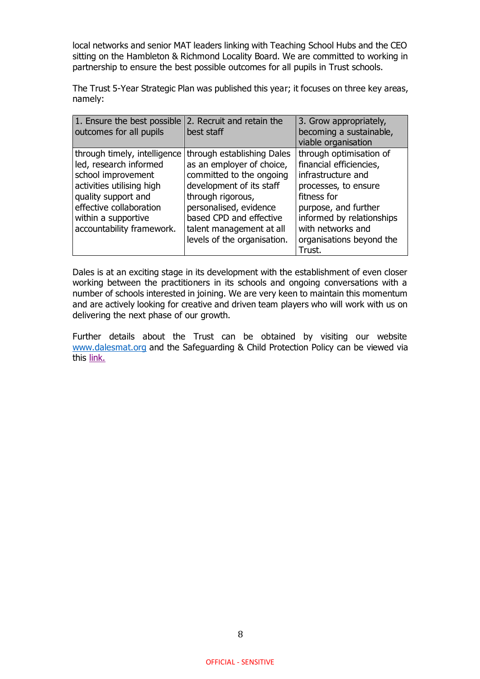local networks and senior MAT leaders linking with Teaching School Hubs and the CEO sitting on the Hambleton & Richmond Locality Board. We are committed to working in partnership to ensure the best possible outcomes for all pupils in Trust schools.

The Trust 5-Year Strategic Plan was published this year; it focuses on three key areas, namely:

| 1. Ensure the best possible<br>outcomes for all pupils | 2. Recruit and retain the<br>best staff               | 3. Grow appropriately,<br>becoming a sustainable,<br>viable organisation |
|--------------------------------------------------------|-------------------------------------------------------|--------------------------------------------------------------------------|
| through timely, intelligence                           | through establishing Dales                            | through optimisation of                                                  |
| led, research informed<br>school improvement           | as an employer of choice,<br>committed to the ongoing | financial efficiencies,<br>infrastructure and                            |
| activities utilising high                              | development of its staff                              | processes, to ensure                                                     |
| quality support and                                    | through rigorous,                                     | fitness for                                                              |
| effective collaboration<br>within a supportive         | personalised, evidence<br>based CPD and effective     | purpose, and further<br>informed by relationships                        |
| accountability framework.                              | talent management at all                              | with networks and                                                        |
|                                                        | levels of the organisation.                           | organisations beyond the<br>Trust.                                       |

Dales is at an exciting stage in its development with the establishment of even closer working between the practitioners in its schools and ongoing conversations with a number of schools interested in joining. We are very keen to maintain this momentum and are actively looking for creative and driven team players who will work with us on delivering the next phase of our growth.

Further details about the Trust can be obtained by visiting our website [www.dalesmat.org](http://www.dalesmat.org/) and the Safeguarding & Child Protection Policy can be viewed via this [link.](https://www.dalesmat.org/files/policies/Policy%20-%20Dales%20-%20Safeguarding%20and%20Child%20Protection.pdf)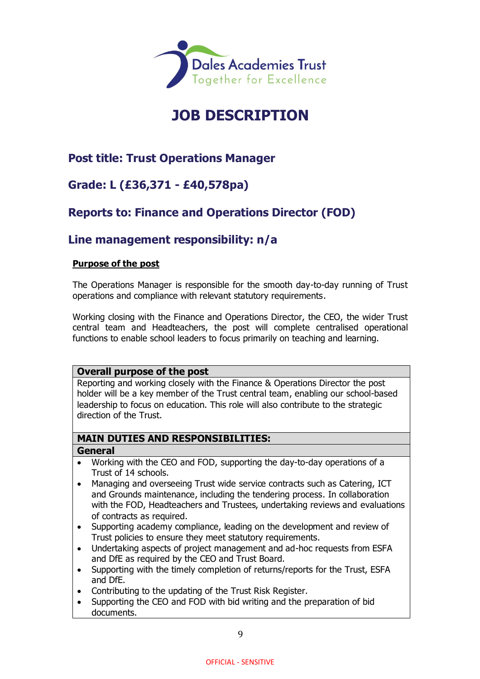

# **JOB DESCRIPTION**

## **Post title: Trust Operations Manager**

## **Grade: L (£36,371 - £40,578pa)**

## **Reports to: Finance and Operations Director (FOD)**

## **Line management responsibility: n/a**

#### **Purpose of the post**

The Operations Manager is responsible for the smooth day-to-day running of Trust operations and compliance with relevant statutory requirements.

Working closing with the Finance and Operations Director, the CEO, the wider Trust central team and Headteachers, the post will complete centralised operational functions to enable school leaders to focus primarily on teaching and learning.

#### **Overall purpose of the post**

Reporting and working closely with the Finance & Operations Director the post holder will be a key member of the Trust central team, enabling our school-based leadership to focus on education. This role will also contribute to the strategic direction of the Trust.

### **MAIN DUTIES AND RESPONSIBILITIES:**

#### **General**

- Working with the CEO and FOD, supporting the day-to-day operations of a Trust of 14 schools.
- Managing and overseeing Trust wide service contracts such as Catering, ICT and Grounds maintenance, including the tendering process. In collaboration with the FOD, Headteachers and Trustees, undertaking reviews and evaluations of contracts as required.
- Supporting academy compliance, leading on the development and review of Trust policies to ensure they meet statutory requirements.
- Undertaking aspects of project management and ad-hoc requests from ESFA and DfE as required by the CEO and Trust Board.
- Supporting with the timely completion of returns/reports for the Trust, ESFA and DfE.
- Contributing to the updating of the Trust Risk Register.
- Supporting the CEO and FOD with bid writing and the preparation of bid documents.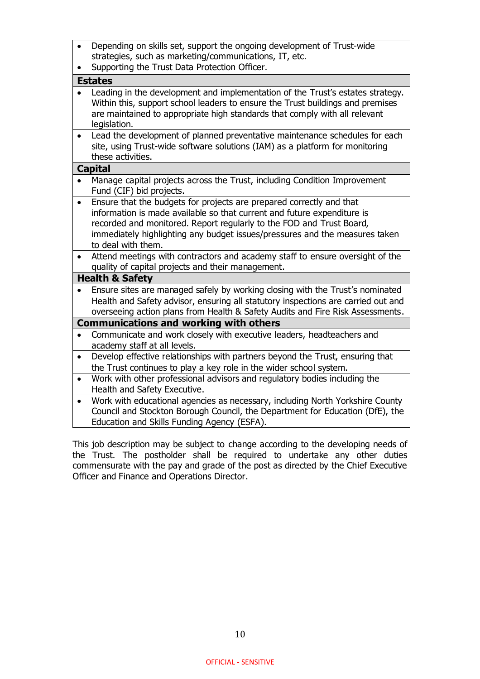|           | Depending on skills set, support the ongoing development of Trust-wide<br>strategies, such as marketing/communications, IT, etc.                                                                                                                                                                                             |
|-----------|------------------------------------------------------------------------------------------------------------------------------------------------------------------------------------------------------------------------------------------------------------------------------------------------------------------------------|
|           | Supporting the Trust Data Protection Officer.                                                                                                                                                                                                                                                                                |
|           | <b>Estates</b>                                                                                                                                                                                                                                                                                                               |
|           | Leading in the development and implementation of the Trust's estates strategy.<br>Within this, support school leaders to ensure the Trust buildings and premises<br>are maintained to appropriate high standards that comply with all relevant<br>legislation.                                                               |
| $\bullet$ | Lead the development of planned preventative maintenance schedules for each<br>site, using Trust-wide software solutions (IAM) as a platform for monitoring<br>these activities.                                                                                                                                             |
|           | <b>Capital</b>                                                                                                                                                                                                                                                                                                               |
|           | Manage capital projects across the Trust, including Condition Improvement<br>Fund (CIF) bid projects.                                                                                                                                                                                                                        |
| $\bullet$ | Ensure that the budgets for projects are prepared correctly and that<br>information is made available so that current and future expenditure is<br>recorded and monitored. Report regularly to the FOD and Trust Board,<br>immediately highlighting any budget issues/pressures and the measures taken<br>to deal with them. |
| $\bullet$ | Attend meetings with contractors and academy staff to ensure oversight of the<br>quality of capital projects and their management.                                                                                                                                                                                           |
|           | <b>Health &amp; Safety</b>                                                                                                                                                                                                                                                                                                   |
|           | Ensure sites are managed safely by working closing with the Trust's nominated<br>Health and Safety advisor, ensuring all statutory inspections are carried out and<br>overseeing action plans from Health & Safety Audits and Fire Risk Assessments.                                                                         |
|           | <b>Communications and working with others</b>                                                                                                                                                                                                                                                                                |
|           | Communicate and work closely with executive leaders, headteachers and<br>academy staff at all levels.                                                                                                                                                                                                                        |
| $\bullet$ | Develop effective relationships with partners beyond the Trust, ensuring that<br>the Trust continues to play a key role in the wider school system.                                                                                                                                                                          |
| $\bullet$ | Work with other professional advisors and regulatory bodies including the<br>Health and Safety Executive.                                                                                                                                                                                                                    |
| $\bullet$ | Work with educational agencies as necessary, including North Yorkshire County<br>Council and Stockton Borough Council, the Department for Education (DfE), the<br>Education and Skills Funding Agency (ESFA).                                                                                                                |

This job description may be subject to change according to the developing needs of the Trust. The postholder shall be required to undertake any other duties commensurate with the pay and grade of the post as directed by the Chief Executive Officer and Finance and Operations Director.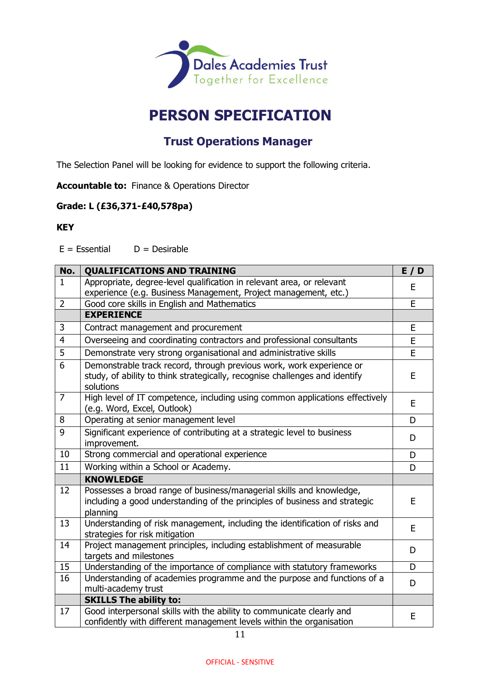

# **PERSON SPECIFICATION**

## **Trust Operations Manager**

The Selection Panel will be looking for evidence to support the following criteria.

**Accountable to:** Finance & Operations Director

#### **Grade: L (£36,371-£40,578pa)**

#### **KEY**

 $E = E$ ssential  $D =$  Desirable

| No.            | <b>QUALIFICATIONS AND TRAINING</b>                                                                                                                               | E/D |
|----------------|------------------------------------------------------------------------------------------------------------------------------------------------------------------|-----|
| $\mathbf{1}$   | Appropriate, degree-level qualification in relevant area, or relevant                                                                                            |     |
|                | experience (e.g. Business Management, Project management, etc.)                                                                                                  | E   |
| $\overline{2}$ | Good core skills in English and Mathematics                                                                                                                      | E   |
|                | <b>EXPERIENCE</b>                                                                                                                                                |     |
| 3              | Contract management and procurement                                                                                                                              | E   |
| $\overline{4}$ | Overseeing and coordinating contractors and professional consultants                                                                                             | E   |
| $\overline{5}$ | Demonstrate very strong organisational and administrative skills                                                                                                 | E   |
| 6              | Demonstrable track record, through previous work, work experience or<br>study, of ability to think strategically, recognise challenges and identify<br>solutions | E   |
| $\overline{7}$ | High level of IT competence, including using common applications effectively<br>(e.g. Word, Excel, Outlook)                                                      | E   |
| 8              | Operating at senior management level                                                                                                                             | D   |
| 9              | Significant experience of contributing at a strategic level to business<br>improvement.                                                                          | D   |
| 10             | Strong commercial and operational experience                                                                                                                     | D   |
| 11             | Working within a School or Academy.                                                                                                                              | D   |
|                | <b>KNOWLEDGE</b>                                                                                                                                                 |     |
| 12             | Possesses a broad range of business/managerial skills and knowledge,<br>including a good understanding of the principles of business and strategic<br>planning   | E   |
| 13             | Understanding of risk management, including the identification of risks and<br>strategies for risk mitigation                                                    | E   |
| 14             | Project management principles, including establishment of measurable<br>targets and milestones                                                                   | D   |
| 15             | Understanding of the importance of compliance with statutory frameworks                                                                                          | D   |
| 16             | Understanding of academies programme and the purpose and functions of a<br>multi-academy trust                                                                   | D   |
|                | <b>SKILLS The ability to:</b>                                                                                                                                    |     |
| 17             | Good interpersonal skills with the ability to communicate clearly and<br>confidently with different management levels within the organisation                    | E   |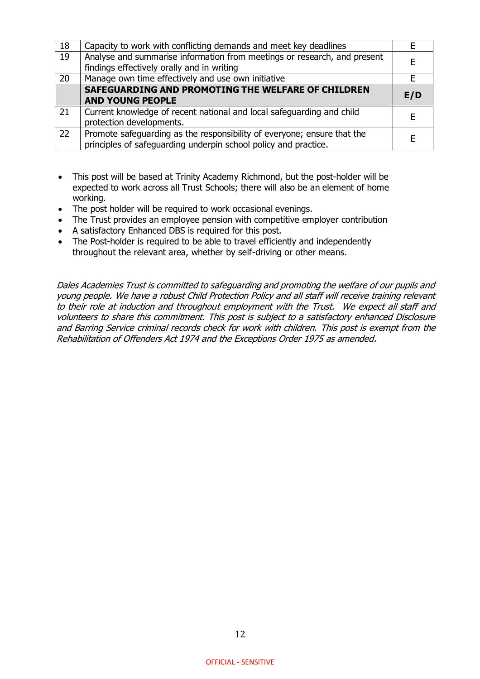| 18 | Capacity to work with conflicting demands and meet key deadlines         |     |
|----|--------------------------------------------------------------------------|-----|
| 19 | Analyse and summarise information from meetings or research, and present |     |
|    | findings effectively orally and in writing                               |     |
| 20 | Manage own time effectively and use own initiative                       |     |
|    | SAFEGUARDING AND PROMOTING THE WELFARE OF CHILDREN                       |     |
|    | <b>AND YOUNG PEOPLE</b>                                                  | E/D |
| 21 | Current knowledge of recent national and local safeguarding and child    |     |
|    | protection developments.                                                 |     |
| 22 | Promote safeguarding as the responsibility of everyone; ensure that the  |     |
|    | principles of safeguarding underpin school policy and practice.          |     |

- This post will be based at Trinity Academy Richmond, but the post-holder will be expected to work across all Trust Schools; there will also be an element of home working.
- The post holder will be required to work occasional evenings.
- The Trust provides an employee pension with competitive employer contribution
- A satisfactory Enhanced DBS is required for this post.
- The Post-holder is required to be able to travel efficiently and independently throughout the relevant area, whether by self-driving or other means.

Dales Academies Trust is committed to safeguarding and promoting the welfare of our pupils and young people. We have a robust Child Protection Policy and all staff will receive training relevant to their role at induction and throughout employment with the Trust. We expect all staff and volunteers to share this commitment. This post is subject to a satisfactory enhanced Disclosure and Barring Service criminal records check for work with children. This post is exempt from the Rehabilitation of Offenders Act 1974 and the Exceptions Order 1975 as amended.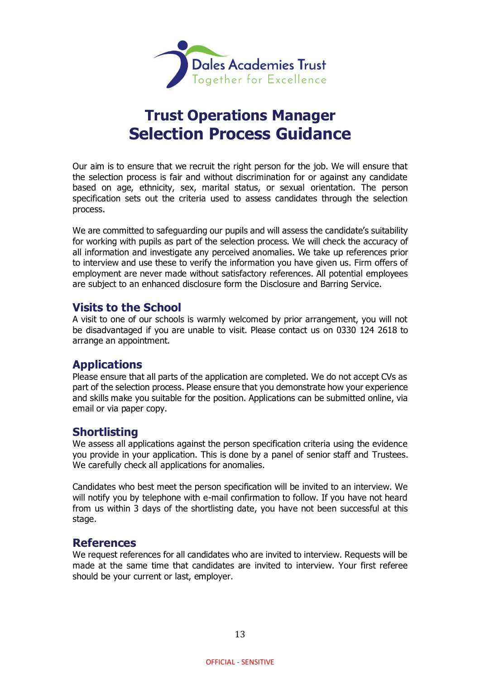

# **Trust Operations Manager Selection Process Guidance**

Our aim is to ensure that we recruit the right person for the job. We will ensure that the selection process is fair and without discrimination for or against any candidate based on age, ethnicity, sex, marital status, or sexual orientation. The person specification sets out the criteria used to assess candidates through the selection process.

We are committed to safeguarding our pupils and will assess the candidate's suitability for working with pupils as part of the selection process. We will check the accuracy of all information and investigate any perceived anomalies. We take up references prior to interview and use these to verify the information you have given us. Firm offers of employment are never made without satisfactory references. All potential employees are subject to an enhanced disclosure form the Disclosure and Barring Service.

### **Visits to the School**

A visit to one of our schools is warmly welcomed by prior arrangement, you will not be disadvantaged if you are unable to visit. Please contact us on 0330 124 2618 to arrange an appointment.

### **Applications**

Please ensure that all parts of the application are completed. We do not accept CVs as part of the selection process. Please ensure that you demonstrate how your experience and skills make you suitable for the position. Applications can be submitted online, via email or via paper copy.

### **Shortlisting**

We assess all applications against the person specification criteria using the evidence you provide in your application. This is done by a panel of senior staff and Trustees. We carefully check all applications for anomalies.

Candidates who best meet the person specification will be invited to an interview. We will notify you by telephone with e-mail confirmation to follow. If you have not heard from us within 3 days of the shortlisting date, you have not been successful at this stage.

### **References**

We request references for all candidates who are invited to interview. Requests will be made at the same time that candidates are invited to interview. Your first referee should be your current or last, employer.